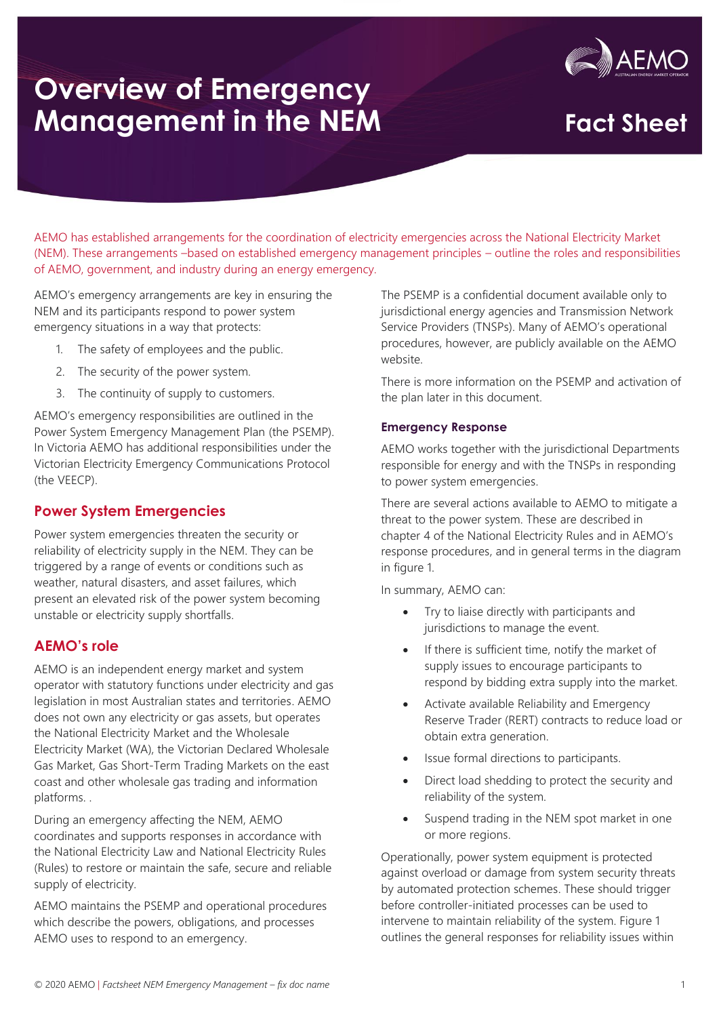

AEMO has established arrangements for the coordination of electricity emergencies across the National Electricity Market (NEM). These arrangements –based on established emergency management principles – outline the roles and responsibilities of AEMO, government, and industry during an energy emergency.

AEMO's emergency arrangements are key in ensuring the NEM and its participants respond to power system emergency situations in a way that protects:

- 1. The safety of employees and the public.
- 2. The security of the power system.
- 3. The continuity of supply to customers.

AEMO's emergency responsibilities are outlined in the Power System Emergency Management Plan (the PSEMP). In Victoria AEMO has additional responsibilities under the Victorian Electricity Emergency Communications Protocol (the VEECP).

#### **Power System Emergencies**

Power system emergencies threaten the security or reliability of electricity supply in the NEM. They can be triggered by a range of events or conditions such as weather, natural disasters, and asset failures, which present an elevated risk of the power system becoming unstable or electricity supply shortfalls.

#### **AEMO's role**

AEMO is an independent energy market and system operator with statutory functions under electricity and gas legislation in most Australian states and territories. AEMO does not own any electricity or gas assets, but operates the National Electricity Market and the Wholesale Electricity Market (WA), the Victorian Declared Wholesale Gas Market, Gas Short-Term Trading Markets on the east coast and other wholesale gas trading and information platforms. .

During an emergency affecting the NEM, AEMO coordinates and supports responses in accordance with the National Electricity Law and National Electricity Rules (Rules) to restore or maintain the safe, secure and reliable supply of electricity.

AEMO maintains the PSEMP and operational procedures which describe the powers, obligations, and processes AEMO uses to respond to an emergency.

The PSEMP is a confidential document available only to jurisdictional energy agencies and Transmission Network Service Providers (TNSPs). Many of AEMO's operational procedures, however, are publicly available on the AEMO website.

There is more information on the PSEMP and activation of the plan later in this document.

#### **Emergency Response**

AEMO works together with the jurisdictional Departments responsible for energy and with the TNSPs in responding to power system emergencies.

There are several actions available to AEMO to mitigate a threat to the power system. These are described in chapter 4 of the National Electricity Rules and in AEMO's response procedures, and in general terms in the diagram in figure 1.

In summary, AEMO can:

- Try to liaise directly with participants and jurisdictions to manage the event.
- If there is sufficient time, notify the market of supply issues to encourage participants to respond by bidding extra supply into the market.
- Activate available Reliability and Emergency Reserve Trader (RERT) contracts to reduce load or obtain extra generation.
- Issue formal directions to participants.
- Direct load shedding to protect the security and reliability of the system.
- Suspend trading in the NEM spot market in one or more regions.

Operationally, power system equipment is protected against overload or damage from system security threats by automated protection schemes. These should trigger before controller-initiated processes can be used to intervene to maintain reliability of the system. Figure 1 outlines the general responses for reliability issues within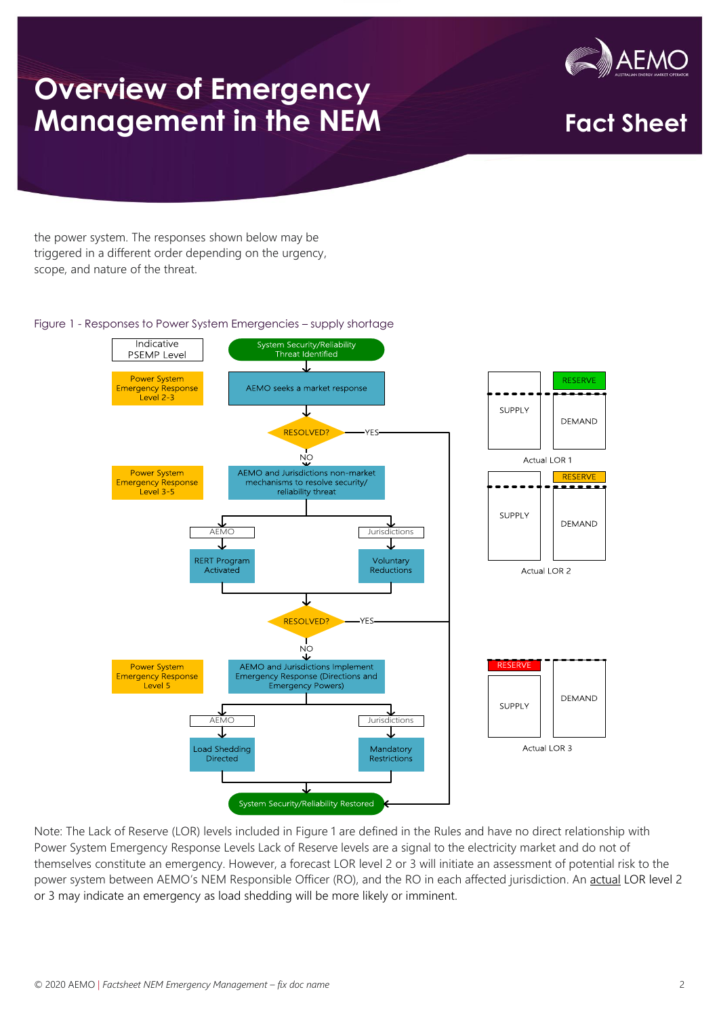# **Overview of Emergency Management in the NEM Fract Sheet<br>
Management in the NEM Fact Sheet**



the power system. The responses shown below may be triggered in a different order depending on the urgency, scope, and nature of the threat.

#### Figure 1 - Responses to Power System Emergencies – supply shortage



Note: The Lack of Reserve (LOR) levels included in Figure 1 are defined in the Rules and have no direct relationship with Power System Emergency Response Levels Lack of Reserve levels are a signal to the electricity market and do not of themselves constitute an emergency. However, a forecast LOR level 2 or 3 will initiate an assessment of potential risk to the power system between AEMO's NEM Responsible Officer (RO), and the RO in each affected jurisdiction. An actual LOR level 2 or 3 may indicate an emergency as load shedding will be more likely or imminent.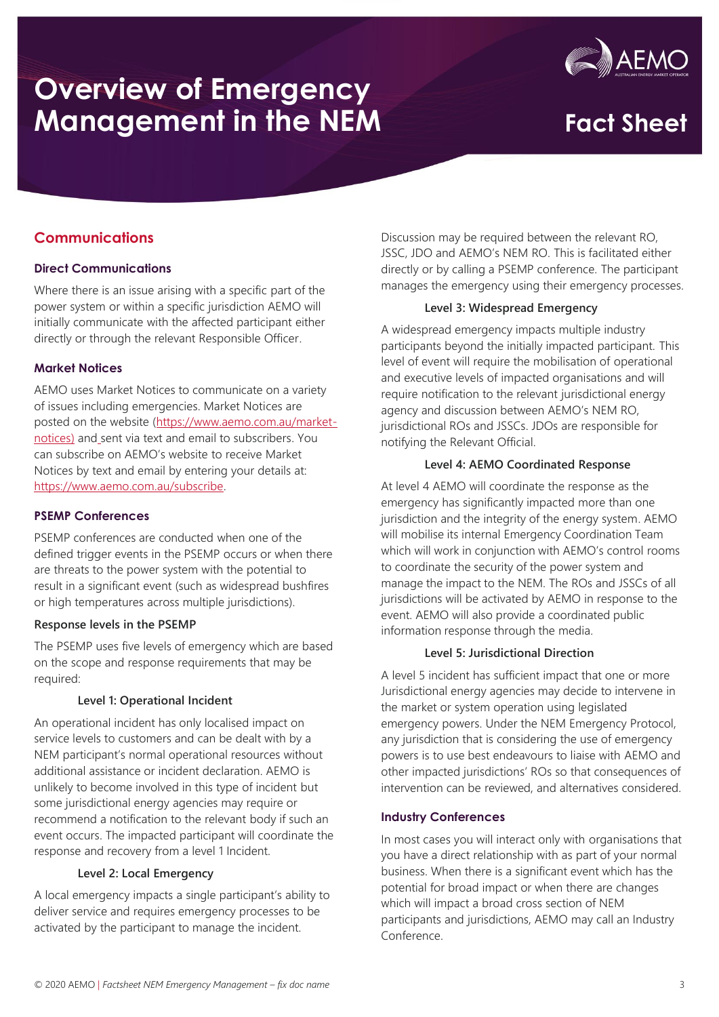

### **Communications**

#### **Direct Communications**

Where there is an issue arising with a specific part of the power system or within a specific jurisdiction AEMO will initially communicate with the affected participant either directly or through the relevant Responsible Officer.

#### **Market Notices**

AEMO uses Market Notices to communicate on a variety of issues including emergencies. Market Notices are posted on the website [\(https://www.aemo.com.au/market](https://www.aemo.com.au/market-notices)[notices\)](https://www.aemo.com.au/market-notices) and sent via text and email to subscribers. You can subscribe on AEMO's website to receive Market Notices by text and email by entering your details at: [https://www.aemo.com.au/subscribe.](https://www.aemo.com.au/subscribe)

#### **PSEMP Conferences**

PSEMP conferences are conducted when one of the defined trigger events in the PSEMP occurs or when there are threats to the power system with the potential to result in a significant event (such as widespread bushfires or high temperatures across multiple jurisdictions).

#### **Response levels in the PSEMP**

The PSEMP uses five levels of emergency which are based on the scope and response requirements that may be required:

#### **Level 1: Operational Incident**

An operational incident has only localised impact on service levels to customers and can be dealt with by a NEM participant's normal operational resources without additional assistance or incident declaration. AEMO is unlikely to become involved in this type of incident but some jurisdictional energy agencies may require or recommend a notification to the relevant body if such an event occurs. The impacted participant will coordinate the response and recovery from a level 1 Incident.

#### **Level 2: Local Emergency**

A local emergency impacts a single participant's ability to deliver service and requires emergency processes to be activated by the participant to manage the incident.

Discussion may be required between the relevant RO, JSSC, JDO and AEMO's NEM RO. This is facilitated either directly or by calling a PSEMP conference. The participant manages the emergency using their emergency processes.

#### **Level 3: Widespread Emergency**

A widespread emergency impacts multiple industry participants beyond the initially impacted participant. This level of event will require the mobilisation of operational and executive levels of impacted organisations and will require notification to the relevant jurisdictional energy agency and discussion between AEMO's NEM RO, jurisdictional ROs and JSSCs. JDOs are responsible for notifying the Relevant Official.

#### **Level 4: AEMO Coordinated Response**

At level 4 AEMO will coordinate the response as the emergency has significantly impacted more than one jurisdiction and the integrity of the energy system. AEMO will mobilise its internal Emergency Coordination Team which will work in conjunction with AEMO's control rooms to coordinate the security of the power system and manage the impact to the NEM. The ROs and JSSCs of all jurisdictions will be activated by AEMO in response to the event. AEMO will also provide a coordinated public information response through the media.

#### **Level 5: Jurisdictional Direction**

A level 5 incident has sufficient impact that one or more Jurisdictional energy agencies may decide to intervene in the market or system operation using legislated emergency powers. Under the NEM Emergency Protocol, any jurisdiction that is considering the use of emergency powers is to use best endeavours to liaise with AEMO and other impacted jurisdictions' ROs so that consequences of intervention can be reviewed, and alternatives considered.

#### **Industry Conferences**

In most cases you will interact only with organisations that you have a direct relationship with as part of your normal business. When there is a significant event which has the potential for broad impact or when there are changes which will impact a broad cross section of NEM participants and jurisdictions, AEMO may call an Industry Conference.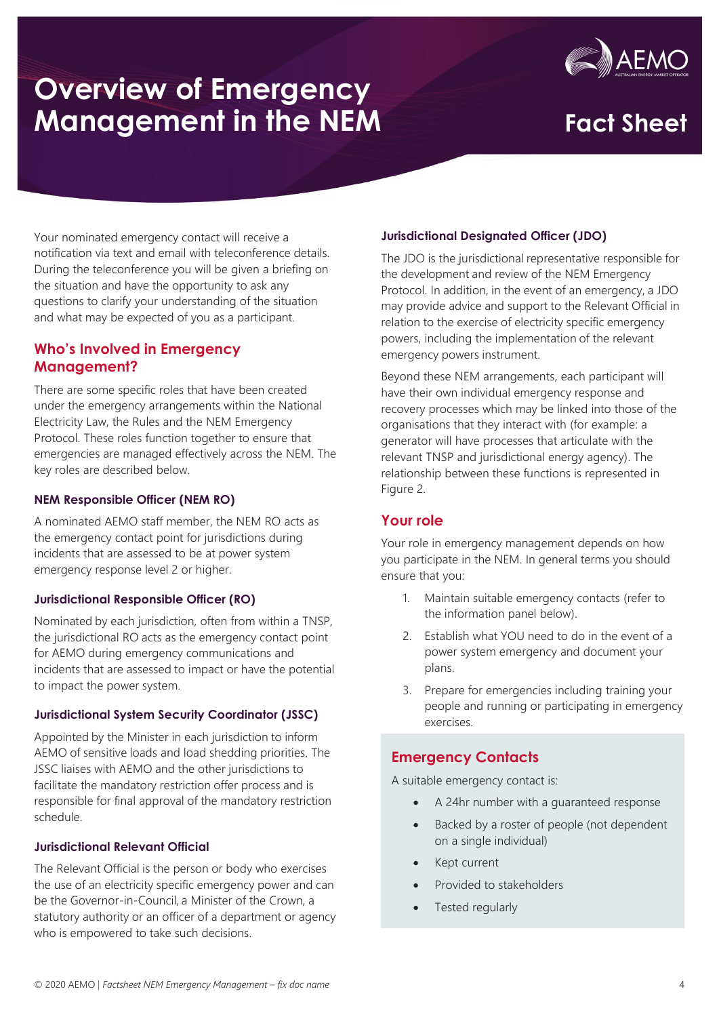# AEM

Your nominated emergency contact will receive a notification via text and email with teleconference details. During the teleconference you will be given a briefing on the situation and have the opportunity to ask any questions to clarify your understanding of the situation and what may be expected of you as a participant.

### **Who's Involved in Emergency Management?**

There are some specific roles that have been created under the emergency arrangements within the National Electricity Law, the Rules and the NEM Emergency Protocol. These roles function together to ensure that emergencies are managed effectively across the NEM. The key roles are described below.

#### **NEM Responsible Officer (NEM RO)**

A nominated AEMO staff member, the NEM RO acts as the emergency contact point for jurisdictions during incidents that are assessed to be at power system emergency response level 2 or higher.

#### **Jurisdictional Responsible Officer (RO)**

Nominated by each jurisdiction, often from within a TNSP, the jurisdictional RO acts as the emergency contact point for AEMO during emergency communications and incidents that are assessed to impact or have the potential to impact the power system.

#### **Jurisdictional System Security Coordinator (JSSC)**

Appointed by the Minister in each jurisdiction to inform AEMO of sensitive loads and load shedding priorities. The JSSC liaises with AEMO and the other jurisdictions to facilitate the mandatory restriction offer process and is responsible for final approval of the mandatory restriction schedule.

#### **Jurisdictional Relevant Official**

The Relevant Official is the person or body who exercises the use of an electricity specific emergency power and can be the Governor-in-Council, a Minister of the Crown, a statutory authority or an officer of a department or agency who is empowered to take such decisions.

#### **Jurisdictional Designated Officer (JDO)**

The JDO is the jurisdictional representative responsible for the development and review of the NEM Emergency Protocol. In addition, in the event of an emergency, a JDO may provide advice and support to the Relevant Official in relation to the exercise of electricity specific emergency powers, including the implementation of the relevant emergency powers instrument.

Beyond these NEM arrangements, each participant will have their own individual emergency response and recovery processes which may be linked into those of the organisations that they interact with (for example: a generator will have processes that articulate with the relevant TNSP and jurisdictional energy agency). The relationship between these functions is represented in Figure 2.

### **Your role**

Your role in emergency management depends on how you participate in the NEM. In general terms you should ensure that you:

- 1. Maintain suitable emergency contacts (refer to the information panel below).
- 2. Establish what YOU need to do in the event of a power system emergency and document your plans.
- 3. Prepare for emergencies including training your people and running or participating in emergency exercises.

### **Emergency Contacts**

A suitable emergency contact is:

- A 24hr number with a guaranteed response
- Backed by a roster of people (not dependent on a single individual)
- Kept current
- Provided to stakeholders
- Tested regularly